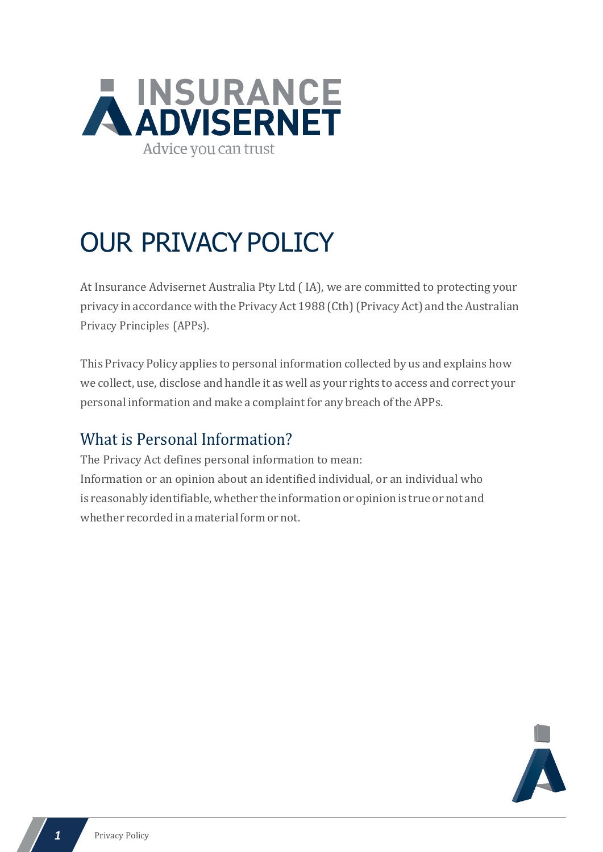

# OUR PRIVACY POLICY

At Insurance Advisernet Australia Pty Ltd ( IA), we are committed to protecting your privacy in accordance with the Privacy Act 1988 (Cth) (Privacy Act) and the Australian Privacy Principles (APPs).

This Privacy Policy applies to personal information collected by us and explains how we collect, use, disclose and handle it as well as your rights to access and correct your personal information and make a complaint for any breach of the APPs.

### What is Personal Information?

The Privacy Act defines personal information to mean: Information or an opinion about an identified individual, or an individual who is reasonably identifiable, whether the information or opinion is true or not and whether recorded in a material form or not.

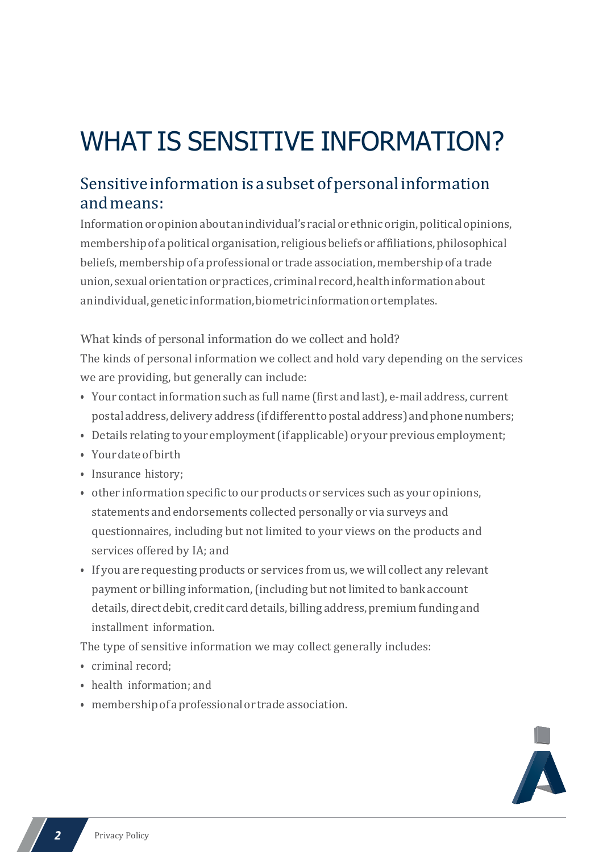# WHAT IS SENSITIVE INFORMATION?

#### Sensitive information is a subset of personal information andmeans:

Information or opinion about an individual's racial or ethnic origin, political opinions, membershipof apolitical organisation, religiousbeliefsor affiliations, philosophical beliefs, membership of a professional or trade association, membership of a trade union, sexualorientationorpractices, criminal record,healthinformationabout anindividual,geneticinformation,biometricinformationortemplates.

What kinds of personal information do we collect and hold? The kinds of personal information we collect and hold vary depending on the services we are providing, but generally can include:

- Your contactinformation such as full name (first and last), e-mail address, current postaladdress,delivery address (ifdifferenttopostaladdress) andphonenumbers;
- Details relating to your employment (if applicable) or your previous employment;
- Yourdate of birth
- Insurance history;
- other information specific to our products or services such as your opinions, statements and endorsements collected personally or via surveys and questionnaires, including but not limited to your views on the products and services offered by IA; and
- If you are requesting products or services from us, we will collect any relevant payment or billing information, (including but not limited to bank account details, direct debit, credit card details, billing address, premium funding and installment information.

The type of sensitive information we may collect generally includes:

- criminal record;
- health information; and
- membershipofaprofessionalor trade association.

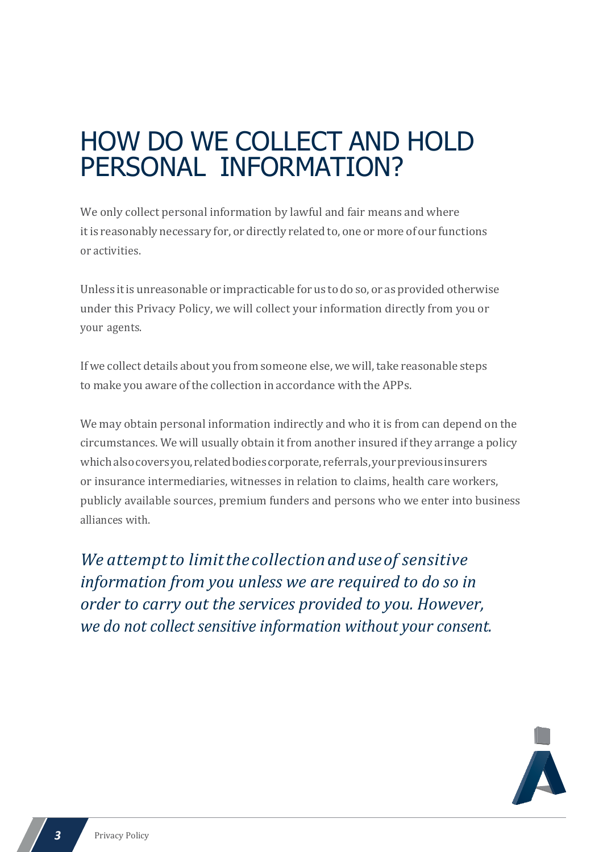### HOW DO WE COLLECT AND HOLD PERSONAL INFORMATION?

We only collect personal information by lawful and fair means and where itis reasonably necessary for, or directly related to, one or more of our functions or activities.

Unless itis unreasonable or impracticable for us to do so, or as provided otherwise under this Privacy Policy, we will collect your information directly from you or your agents.

If we collect details about you from someone else, we will, take reasonable steps to make you aware of the collection in accordance with the APPs.

We may obtain personal information indirectly and who it is from can depend on the circumstances. We will usually obtain it from another insured if they arrange a policy which also covers you, related bodies corporate, referrals, your previous insurers or insurance intermediaries, witnesses in relation to claims, health care workers, publicly available sources, premium funders and persons who we enter into business alliances with.

*We attemptto limitthe collectionanduseof sensitive information from you unless we are required to do so in order to carry out the services provided to you. However, we do not collect sensitive information without your consent.*

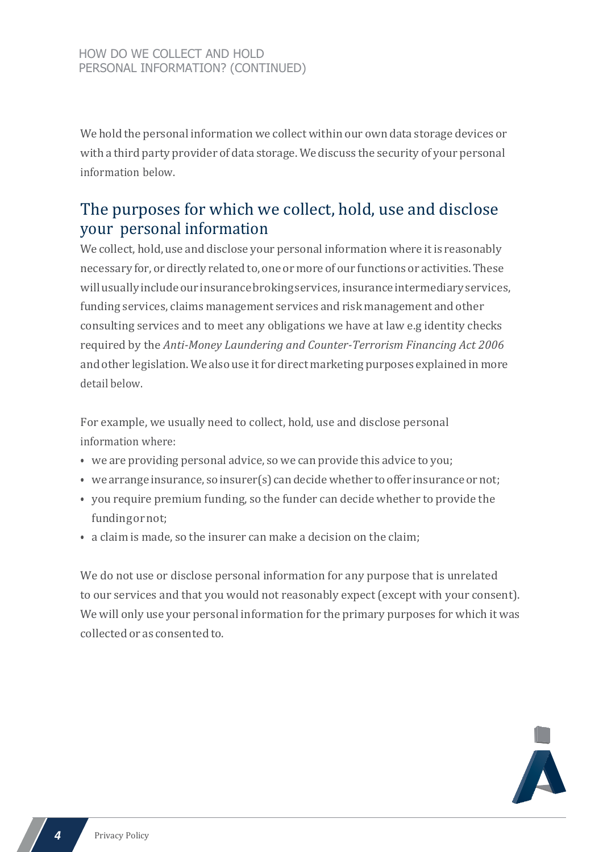We hold the personal information we collect within our own data storage devices or with a third party provider of data storage. We discuss the security of your personal information below.

#### The purposes for which we collect, hold, use and disclose your personal information

We collect, hold, use and disclose your personal information where it is reasonably necessary for, or directly related to, one or more of our functions or activities. These will usually include our insurance broking services, insurance intermediary services, funding services, claims management services and risk management and other consulting services and to meet any obligations we have at law e.g identity checks required by the *Anti-Money Laundering and Counter-Terrorism Financing Act 2006* and other legislation. Wealso use itfor direct marketing purposes explained in more detail below.

For example, we usually need to collect, hold, use and disclose personal information where:

- we are providing personal advice, so we can provide this advice to you;
- we arrange insurance, so insurer(s) can decide whether to offer insurance or not;
- you require premium funding, so the funder can decide whether to provide the fundingornot;
- a claim is made, so the insurer can make a decision on the claim;

We do not use or disclose personal information for any purpose that is unrelated to our services and that you would not reasonably expect (except with your consent). We will only use your personal information for the primary purposes for which it was collected or as consented to.

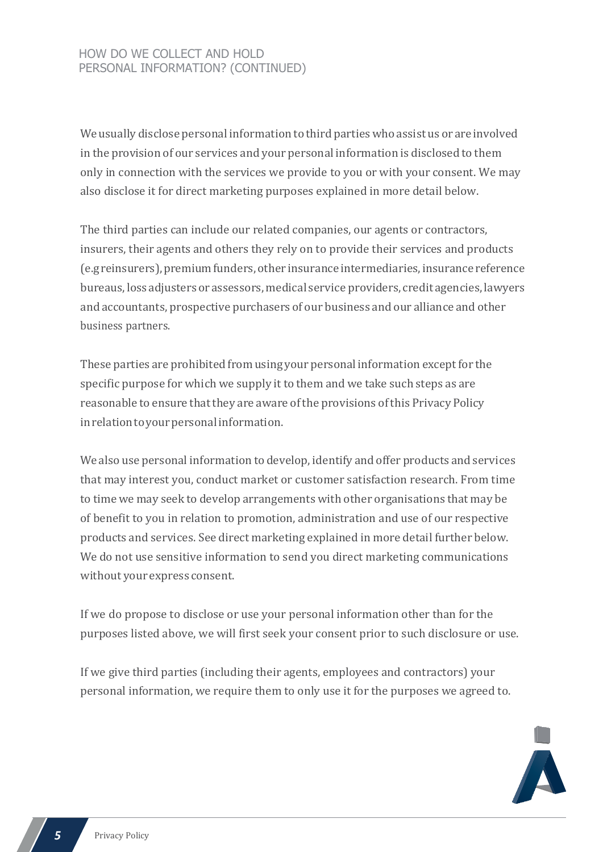#### HOW DO WE COLLECT AND HOLD PERSONAL INFORMATION? (CONTINUED)

We usually disclose personal information to third parties who assist us or are involved in the provision of our services and your personal information is disclosed to them only in connection with the services we provide to you or with your consent. We may also disclose it for direct marketing purposes explained in more detail below.

The third parties can include our related companies, our agents or contractors, insurers, their agents and others they rely on to provide their services and products (e.greinsurers),premiumfunders, other insurance intermediaries,insurance reference bureaus, loss adjusters or assessors, medical service providers, credit agencies, lawyers and accountants, prospective purchasers of our business and our alliance and other business partners.

These parties are prohibited from using your personal information exceptfor the specific purpose for which we supply it to them and we take such steps as are reasonable to ensure that they are aware of the provisions of this Privacy Policy inrelationtoyourpersonalinformation.

We also use personal information to develop, identify and offer products and services that may interest you, conduct market or customer satisfaction research. From time to time we may seek to develop arrangements with other organisations that may be of benefit to you in relation to promotion, administration and use of our respective products and services. See direct marketing explained in more detail further below. We do not use sensitive information to send you direct marketing communications without your express consent.

If we do propose to disclose or use your personal information other than for the purposes listed above, we will first seek your consent prior to such disclosure or use.

If we give third parties (including their agents, employees and contractors) your personal information, we require them to only use it for the purposes we agreed to.

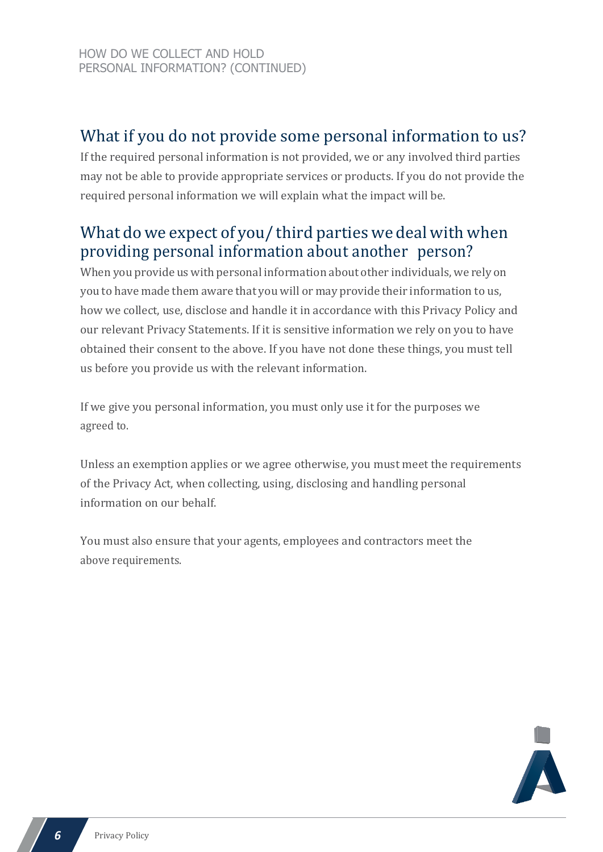### What if you do not provide some personal information to us?

If the required personal information is not provided, we or any involved third parties may not be able to provide appropriate services or products. If you do not provide the required personal information we will explain what the impact will be.

#### What dowe expect of you/ third parties we deal with when providing personal information about another person?

When you provide us with personal information about other individuals, we rely on you to have made them aware that you will or may provide their information to us, how we collect, use, disclose and handle it in accordance with this Privacy Policy and our relevant Privacy Statements. If it is sensitive information we rely on you to have obtained their consent to the above. If you have not done these things, you must tell us before you provide us with the relevant information.

If we give you personal information, you must only use it for the purposes we agreed to.

Unless an exemption applies or we agree otherwise, you must meet the requirements of the Privacy Act, when collecting, using, disclosing and handling personal information on our behalf.

You must also ensure that your agents, employees and contractors meet the above requirements.

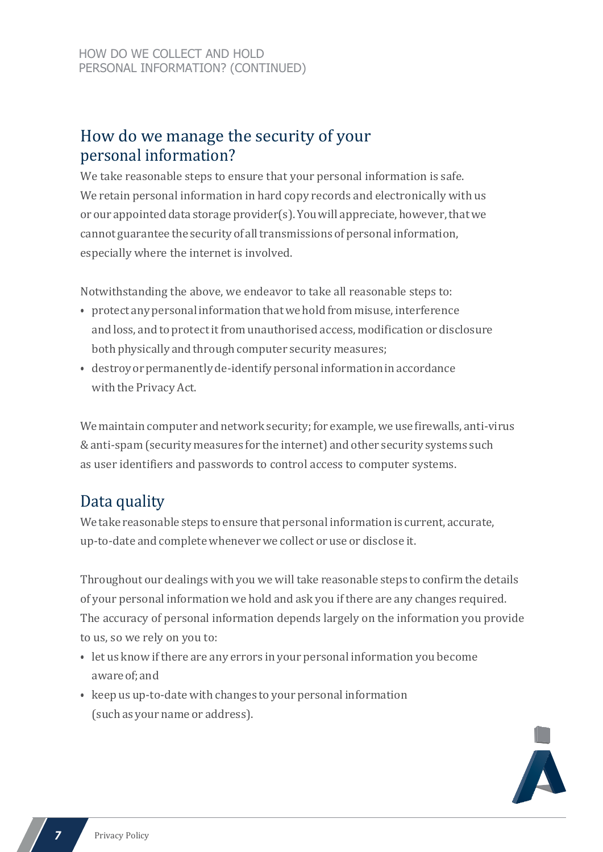#### How do we manage the security of your personal information?

We take reasonable steps to ensure that your personal information is safe. We retain personal information in hard copy records and electronically with us or our appointed data storage provider(s). You will appreciate, however, that we cannot guarantee the security of all transmissions of personal information, especially where the internet is involved.

Notwithstanding the above, we endeavor to take all reasonable steps to:

- protect any personal information that we hold from misuse, interference and loss, and to protect it from unauthorised access, modification or disclosure both physically and through computer security measures;
- destroy or permanently de-identify personal information in accordance with the Privacy Act.

We maintain computer and network security; for example, we use firewalls, anti-virus &anti-spam (security measures for the internet) and other security systems such as user identifiers and passwords to control access to computer systems.

### Data quality

We take reasonable steps to ensure that personal information is current, accurate, up-to-date and complete whenever we collect or use or disclose it.

Throughout our dealings with you we will take reasonable steps to confirm the details of your personal information we hold and ask you ifthere are any changes required. The accuracy of personal information depends largely on the information you provide to us, so we rely on you to:

- let us know if there are any errors in your personal information you become awareof;and
- keep us up-to-date with changes to your personal information (such as your name or address).

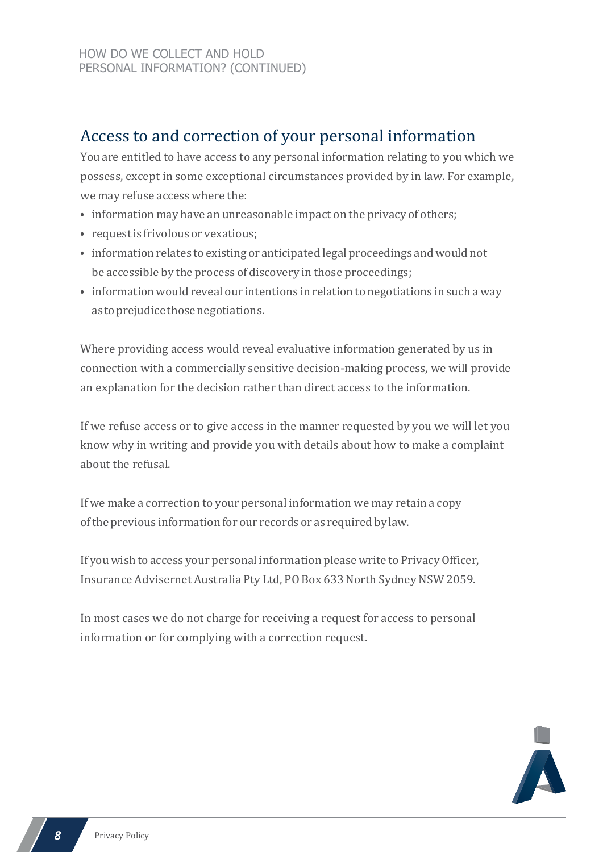### Access to and correction of your personal information

You are entitled to have access to any personal information relating to you which we possess, except in some exceptional circumstances provided by in law. For example, we may refuse access where the:

- information may have an unreasonable impact on the privacy of others;
- requestis frivolous or vexatious;
- information relates to existing or anticipated legal proceedings andwould not be accessible by the process of discovery in those proceedings;
- information would reveal our intentions in relation to negotiations in such a way as to prejudice those negotiations.

Where providing access would reveal evaluative information generated by us in connection with a commercially sensitive decision-making process, we will provide an explanation for the decision rather than direct access to the information.

If we refuse access or to give access in the manner requested by you we will let you know why in writing and provide you with details about how to make a complaint about the refusal.

If we make a correction to your personal information we may retain a copy ofthe previous information for our records or as requiredby law.

If you wish to access your personal information please write to PrivacyOfficer, Insurance Advisernet Australia Pty Ltd, PO Box 633 North Sydney NSW 2059.

In most cases we do not charge for receiving a request for access to personal information or for complying with a correction request.

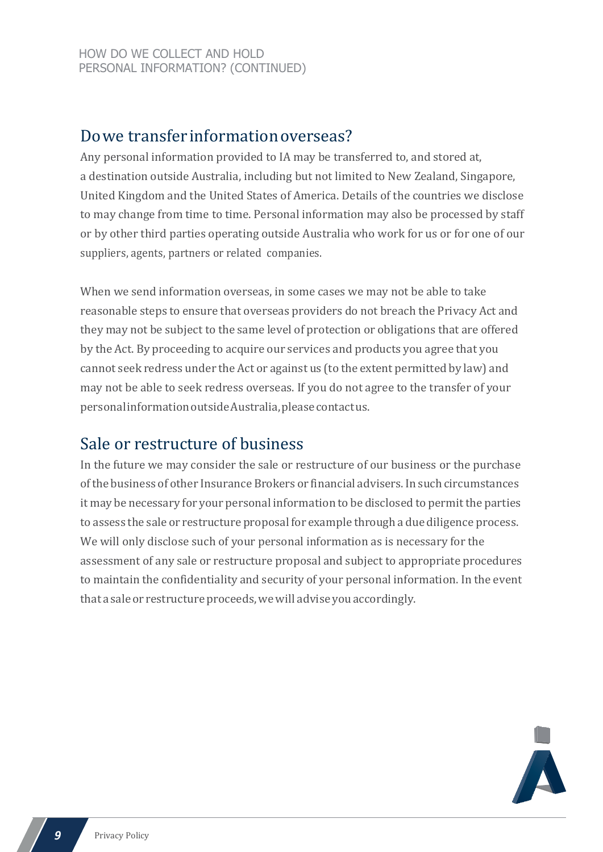#### Dowe transferinformationoverseas?

Any personal information provided to IA may be transferred to, and stored at, a destination outside Australia, including but not limited to New Zealand, Singapore, United Kingdom and the United States of America. Details of the countries we disclose to may change from time to time. Personal information may also be processed by staff or by other third parties operating outside Australia who work for us or for one of our suppliers, agents, partners or related companies.

When we send information overseas, in some cases we may not be able to take reasonable steps to ensure that overseas providers do not breach the Privacy Act and they may not be subject to the same level of protection or obligations that are offered by the Act. By proceeding to acquire our services and products you agree that you cannot seek redress under the Act or against us (to the extent permitted by law) and may not be able to seek redress overseas. If you do not agree to the transfer of your personalinformationoutsideAustralia,pleasecontactus.

#### Sale or restructure of business

In the future we may consider the sale or restructure of our business or the purchase ofthe business of other Insurance Brokers or financial advisers.In such circumstances it may be necessary for your personal information to be disclosed to permit the parties to assess the sale or restructure proposal for example through a due diligence process. We will only disclose such of your personal information as is necessary for the assessment of any sale or restructure proposal and subject to appropriate procedures to maintain the confidentiality and security of your personal information. In the event that a sale or restructure proceeds, we will advise you accordingly.

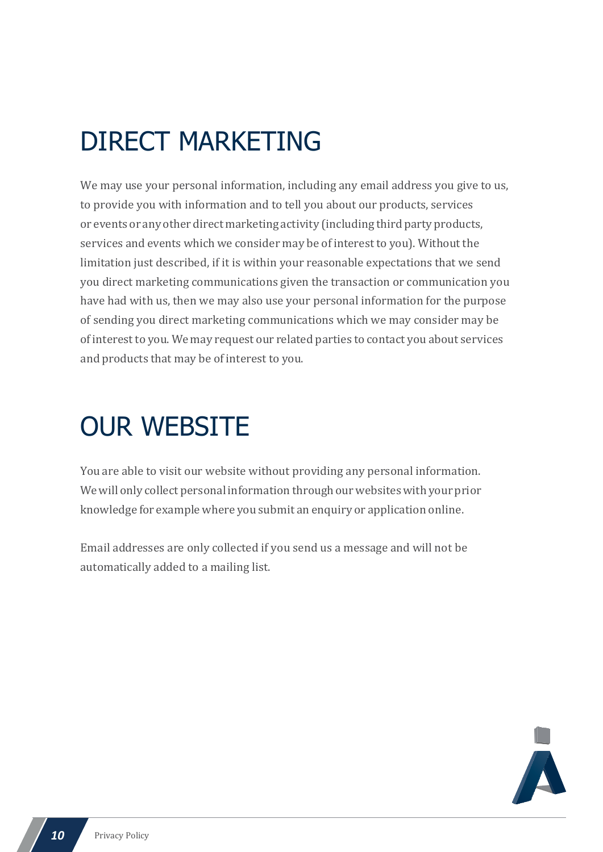### DIRECT MARKETING

We may use your personal information, including any email address you give to us, to provide you with information and to tell you about our products, services or events or any other direct marketing activity (including third party products, services and events which we consider may be of interest to you). Without the limitation just described, if it is within your reasonable expectations that we send you direct marketing communications given the transaction or communication you have had with us, then we may also use your personal information for the purpose of sending you direct marketing communications which we may consider may be of interest to you. We may request our related parties to contact you about services and products that may be of interest to you.

### OUR WEBSITE

You are able to visit our website without providing any personal information. We will only collect personal information through our websites with your prior knowledge for example where you submit an enquiry or application online.

Email addresses are only collected if you send us a message and will not be automatically added to a mailing list.

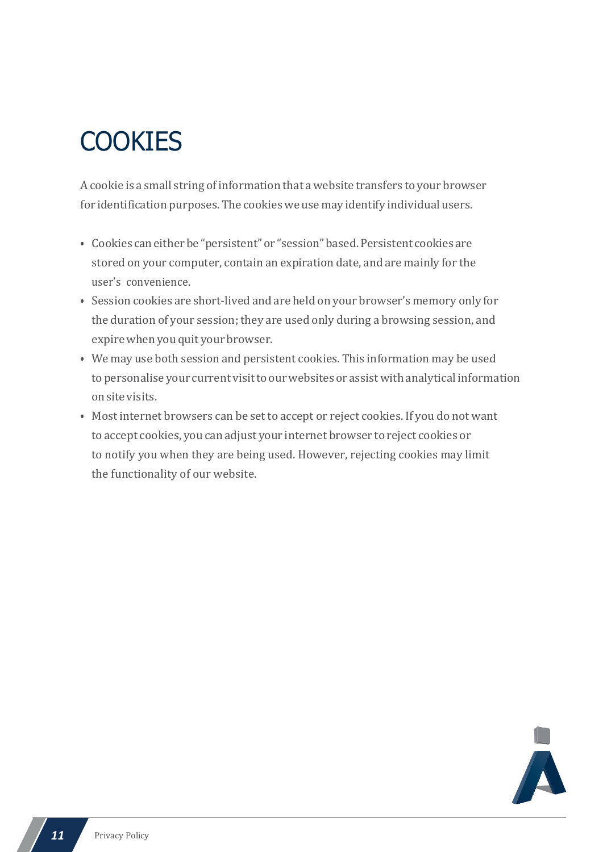### **COOKIES**

A cookie is a small string of information that a website transfers to your browser for identification purposes. The cookies we use may identify individual users.

- Cookies caneitherbe "persistent"or "session"based.Persistent cookies are stored on your computer, contain an expiration date, and are mainly for the user's convenience.
- Session cookies are short-lived and are held on your browser's memory only for the duration of your session; they are used only during a browsing session, and expire when you quit your browser.
- We may use both session and persistent cookies. This information may be used to personalise your current visit to our websites or assist with analytical information onsitevisits.
- Most internet browsers can be set to accept or reject cookies. If you do not want to accept cookies, you can adjust your internet browser to reject cookies or to notify you when they are being used. However, rejecting cookies may limit the functionality of our website.

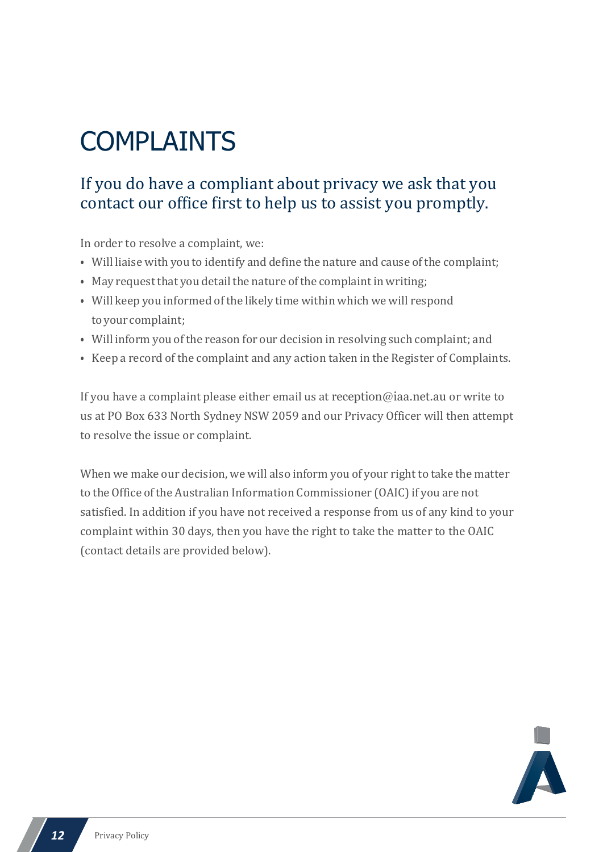# COMPLAINTS

#### If you do have a compliant about privacy we ask that you contact our office first to help us to assist you promptly.

In order to resolve a complaint, we:

- Will liaise with you to identify and define the nature and cause of the complaint;
- May request that you detail the nature of the complaint in writing;
- Will keep you informed ofthe likely time within which we will respond toyour complaint;
- Will inform you of the reason for our decision in resolving such complaint; and
- Keep a record of the complaint and any action taken in the Register of Complaints.

If you have a complaint please either email us at [reception@iaa.net.au](mailto:reception@iaa.net.au) or write to us at PO Box 633 North Sydney NSW 2059 and our Privacy Officer will then attempt to resolve the issue or complaint.

When we make our decision, we will also inform you of your right to take the matter to the Office of the Australian Information Commissioner (OAIC) if you are not satisfied. In addition if you have not received a response from us of any kind to your complaint within 30 days, then you have the right to take the matter to the OAIC (contact details are provided below).

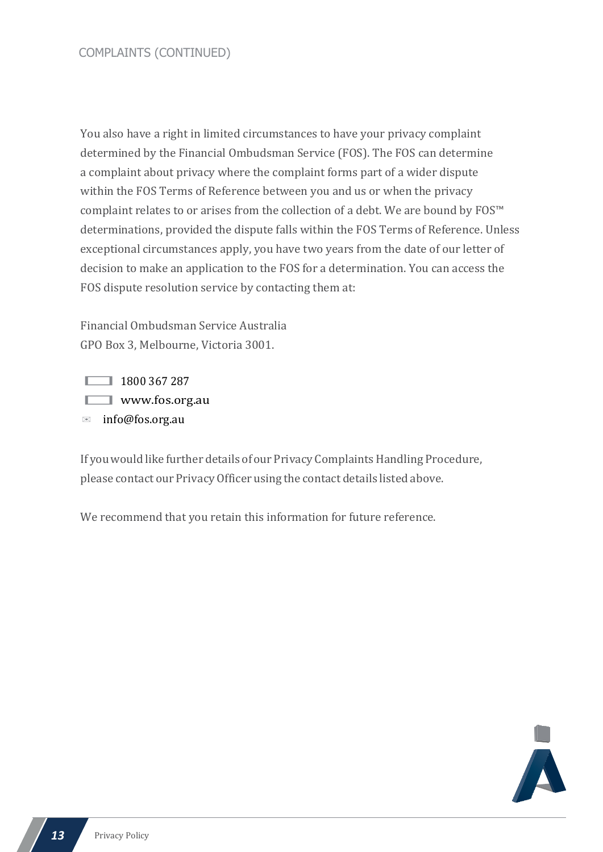You also have a right in limited circumstances to have your privacy complaint determined by the Financial Ombudsman Service (FOS). The FOS can determine a complaint about privacy where the complaint forms part of a wider dispute within the FOS Terms of Reference between you and us or when the privacy complaint relates to or arises from the collection of a debt. We are bound by FOS™ determinations, provided the dispute falls within the FOS Terms of Reference. Unless exceptional circumstances apply, you have two years from the date of our letter of decision to make an application to the FOS for a determination. You can access the FOS dispute resolution service by contacting them at:

Financial Ombudsman Service Australia GPO Box 3, Melbourne, Victoria 3001.

1800 367 287 **WW.fos.org.au** ✉ [info@fos.org.au](mailto:info@fos.org.au)

If you would like further details of our Privacy Complaints Handling Procedure, please contact our PrivacyOfficer using the contact details listed above.

We recommend that you retain this information for future reference.